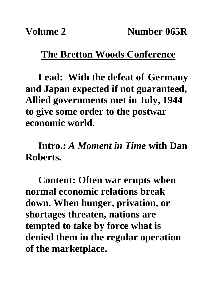## **The Bretton Woods Conference**

**Lead: With the defeat of Germany and Japan expected if not guaranteed, Allied governments met in July, 1944 to give some order to the postwar economic world.**

**Intro.:** *A Moment in Time* **with Dan Roberts.**

**Content: Often war erupts when normal economic relations break down. When hunger, privation, or shortages threaten, nations are tempted to take by force what is denied them in the regular operation of the marketplace.**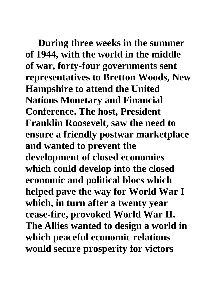**During three weeks in the summer of 1944, with the world in the middle of war, forty-four governments sent representatives to Bretton Woods, New Hampshire to attend the United Nations Monetary and Financial Conference. The host, President Franklin Roosevelt, saw the need to ensure a friendly postwar marketplace and wanted to prevent the development of closed economies which could develop into the closed economic and political blocs which helped pave the way for World War I which, in turn after a twenty year cease-fire, provoked World War II. The Allies wanted to design a world in which peaceful economic relations would secure prosperity for victors**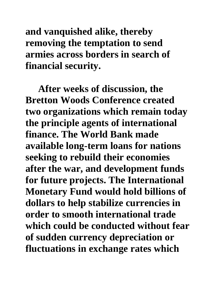**and vanquished alike, thereby removing the temptation to send armies across borders in search of financial security.**

**After weeks of discussion, the Bretton Woods Conference created two organizations which remain today the principle agents of international finance. The World Bank made available long-term loans for nations seeking to rebuild their economies after the war, and development funds for future projects. The International Monetary Fund would hold billions of dollars to help stabilize currencies in order to smooth international trade which could be conducted without fear of sudden currency depreciation or fluctuations in exchange rates which**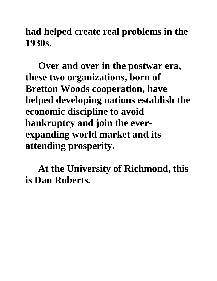**had helped create real problems in the 1930s.**

**Over and over in the postwar era, these two organizations, born of Bretton Woods cooperation, have helped developing nations establish the economic discipline to avoid bankruptcy and join the everexpanding world market and its attending prosperity.**

**At the University of Richmond, this is Dan Roberts.**